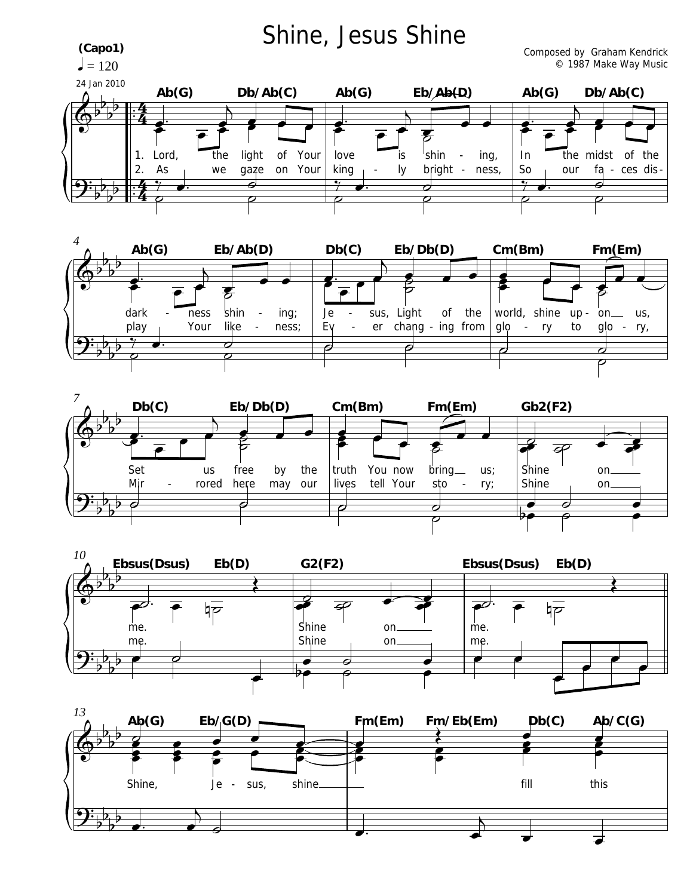







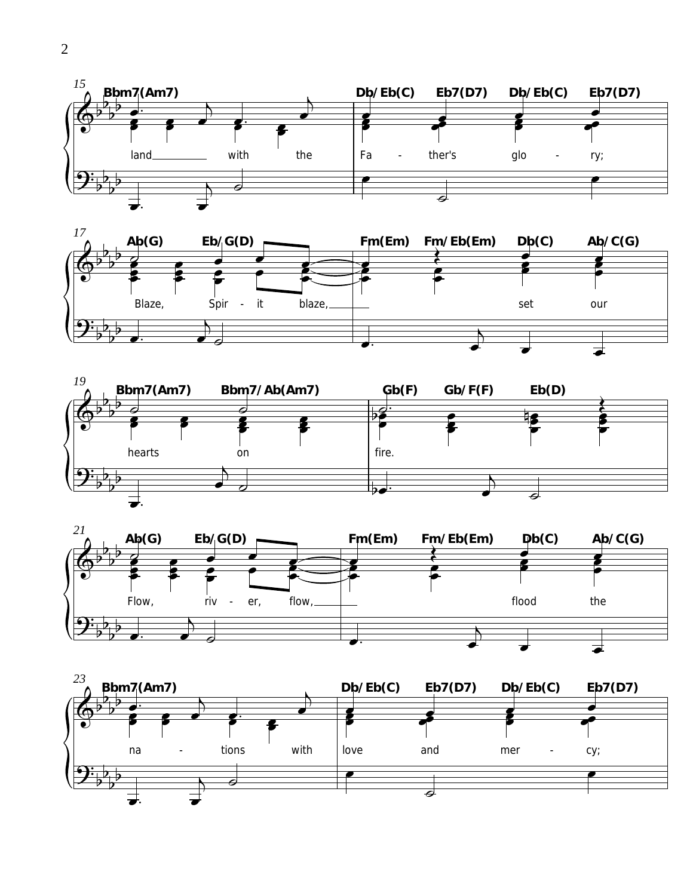